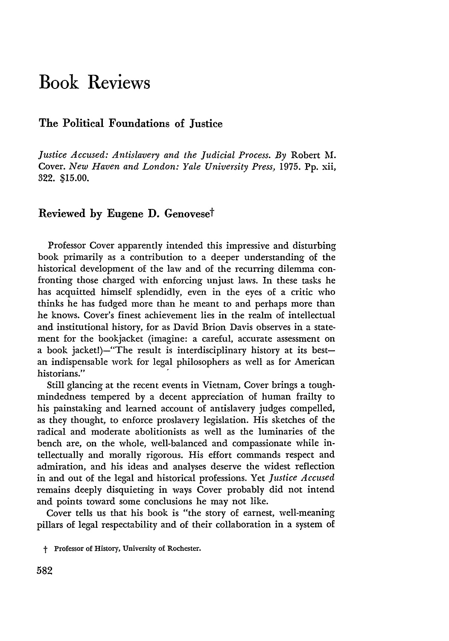# **Book Reviews**

## The Political Foundations of Justice

*Justice Accused: Antislavery and the Judicial Process. By* Robert M. Cover. *New Haven and London: Yale University Press,* **1975.** Pp. xii, 322. \$15.00.

### Reviewed **by** Eugene **D.** Genoveset

Professor Cover apparently intended this impressive and disturbing book primarily as a contribution to a deeper understanding of the historical development of the law and of the recurring dilemma confronting those charged with enforcing unjust laws. In these tasks he has acquitted himself splendidly, even in the eyes of a critic who thinks he has fudged more than he meant to and perhaps more than he knows. Cover's finest achievement lies in the realm of intellectual and institutional history, for as David Brion Davis observes in a statement for the bookjacket (imagine: a careful, accurate assessment on a book jacket!)-"The result is interdisciplinary history at its bestan indispensable work for legal philosophers as well as for American historians."

Still glancing at the recent events in Vietnam, Cover brings a toughmindedness tempered by a decent appreciation of human frailty to his painstaking and learned account of antislavery judges compelled, as they thought, to enforce proslavery legislation. His sketches of the radical and moderate abolitionists as well as the luminaries of the bench are, on the whole, well-balanced and compassionate while intellectually and morally rigorous. His effort commands respect and admiration, and his ideas and analyses deserve the widest reflection in and out of the legal and historical professions. Yet *Justice Accused* remains deeply disquieting in ways Cover probably did not intend and points toward some conclusions he may not like.

Cover tells us that his book is "the story of earnest, well-meaning pillars of legal respectability and of their collaboration in a system of

t Professor of History, University of Rochester.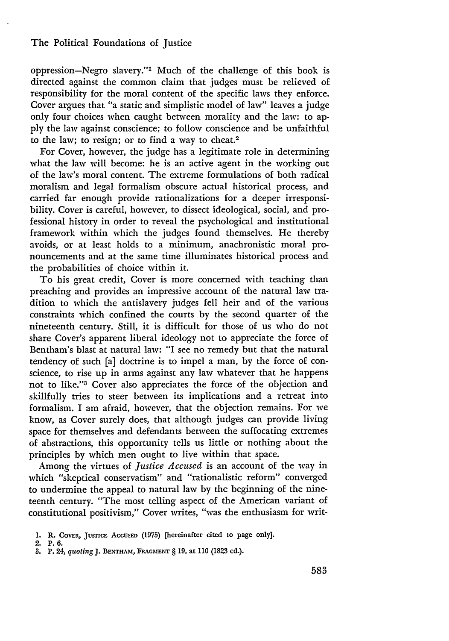#### The Political Foundations of Justice

oppression-Negro slavery."' Much of the challenge of this book is directed against the common claim that judges must be relieved of responsibility for the moral content of the specific laws they enforce. Cover argues that "a static and simplistic model of law" leaves a judge only four choices when caught between morality and the law: to apply the law against conscience; to follow conscience and be unfaithful to the law; to resign; or to find a way to cheat.<sup>2</sup>

For Cover, however, the judge has a legitimate role in determining what the law will become: he is an active agent in the working out of the law's moral content. The extreme formulations of both radical moralism and legal formalism obscure actual historical process, and carried far enough provide rationalizations for a deeper irresponsibility. Cover is careful, however, to dissect ideological, social, and professional history in order to reveal the psychological and institutional framework within which the judges found themselves. He thereby avoids, or at least holds to a minimum, anachronistic moral pronouncements and at the same time illuminates historical process and the probabilities of choice within it.

To his great credit, Cover is more concerned with teaching than preaching and provides an impressive account of the natural law tradition to which the antislavery judges fell heir and of the various constraints which confined the courts by the second quarter of the nineteenth century. Still, it is difficult for those of us who do not share Cover's apparent liberal ideology not to appreciate the force of Bentham's blast at natural law: "I see no remedy but that the natural tendency of such [a] doctrine is to impel a man, by the force of conscience, to rise up in arms against any law whatever that he happens not to like."3 Cover also appreciates the force of the objection and skillfully tries to steer between its implications and a retreat into formalism. I am afraid, however, that the objection remains. For we know, as Cover surely does, that although judges can provide living space for themselves and defendants between the suffocating extremes of abstractions, this opportunity tells us little or nothing about the principles by which men ought to live within that space.

Among the virtues of *Justice Accused* is an account of the way in which "skeptical conservatism" and "rationalistic reform" converged to undermine the appeal to natural law by the beginning of the nineteenth century. "The most telling aspect of the American variant of constitutional positivism," Cover writes, "was the enthusiasm for writ-

<sup>1.</sup> R. CovER, JUSTICE AccusED (1975) [hereinafter cited to page only].

<sup>2.</sup> P. **6.**

**<sup>3.</sup>** P. 24, *quoting* **J. BErrHAM, FRAGMENT** § **19,** at **110 (1823** ed.).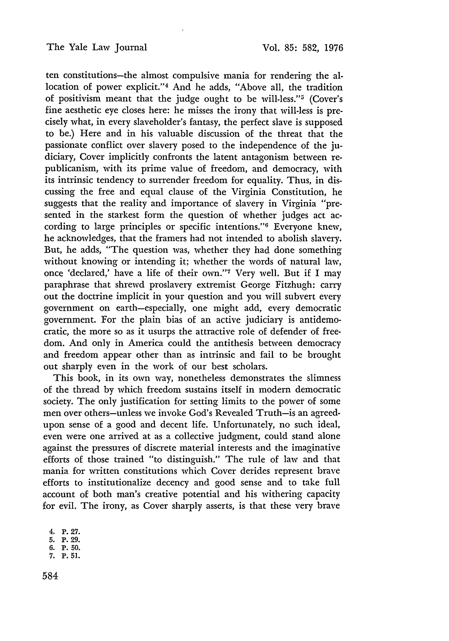ten constitutions-the almost compulsive mania for rendering the allocation of power explicit."<sup>4</sup> And he adds, "Above all, the tradition of positivism meant that the judge ought to be will-less."<sup>5</sup> (Cover's fine aesthetic eye closes here: he misses the irony that will-less is precisely what, in every slaveholder's fantasy, the perfect slave is supposed to be.) Here and in his valuable discussion of the threat that the passionate conflict over slavery posed to the independence of the judiciary, Cover implicitly confronts the latent antagonism between republicanism, with its prime value of freedom, and democracy, with its intrinsic tendency to surrender freedom for equality. Thus, in discussing the free and equal clause of the Virginia Constitution, he suggests that the reality and importance of slavery in Virginia "presented in the starkest form the question of whether judges act according to large principles or specific intentions."<sup>6</sup> Everyone knew, he acknowledges, that the framers had not intended to abolish slavery. But, he adds, "The question was, whether they had done something without knowing or intending it; whether the words of natural law, once 'declared,' have a life of their own."'7 Very well. But if I may paraphrase that shrewd proslavery extremist George Fitzhugh: carry out the doctrine implicit in your question and you will subvert every government on earth-especially, one might add, every democratic government. For the plain bias of an active judiciary is antidemocratic, the more so as it usurps the attractive role of defender of freedom. And only in America could the antithesis between democracy and freedom appear other than as intrinsic and fail to be brought out sharply even in the work of our best scholars.

This book, in its own way, nonetheless demonstrates the slimness of the thread by which freedom sustains itself in modern democratic society. The only justification for setting limits to the power of some men over others-unless we invoke God's Revealed Truth-is an agreedupon sense of a good and decent life. Unfortunately, no such ideal, even were one arrived at as a collective judgment, could stand alone against the pressures of discrete material interests and the imaginative efforts of those trained "to distinguish." The rule of law and that mania for written constitutions which Cover derides represent brave efforts to institutionalize decency and good sense and to take full account of both man's creative potential and his withering capacity for evil. The irony, as Cover sharply asserts, is that these very brave

4. P. **27.**

**<sup>5.</sup>** P. **29.**

**<sup>6.</sup>** P. **50. 7.** P. **51.**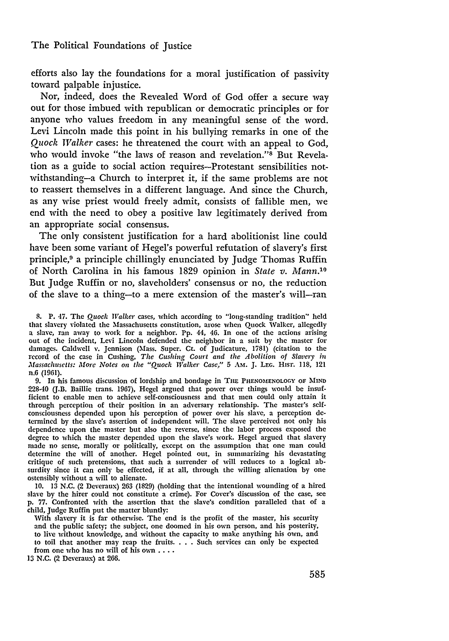#### The Political Foundations of Justice

efforts also lay the foundations for a moral justification of passivity toward palpable injustice.

Nor, indeed, does the Revealed Word of God offer a secure way out for those imbued with republican or democratic principles or for anyone who values freedom in any meaningful sense of the word. Levi Lincoln made this point in his bullying remarks in one of the *Quock Walker* cases: he threatened the court with an appeal to God, who would invoke "the laws of reason and revelation."<sup>8</sup> But Revelation as a guide to social action requires-Protestant sensibilities notwithstanding-a Church to interpret it, if the same problems are not to reassert themselves in a different language. And since the Church, as any wise priest would freely admit, consists of fallible men, we end with the need to obey a positive law legitimately derived from an appropriate social consensus.

The only consistent justification for a hard abolitionist line could have been some variant of Hegel's powerful refutation of slavery's first principle,9 a principle chillingly enunciated by Judge Thomas Ruffin of North Carolina in his famous 1829 opinion in *State v. Mann.10* But Judge Ruffin or no, slaveholders' consensus or no, the reduction of the slave to a thing-to a mere extension of the master's will-ran

**8.** P. 47. The *Quock Walker* cases, which according to "long-standing tradition" held that slavery violated the Massachusetts constitution, arose when Quock Walker, allegedly a slave, ran away to work for a neighbor. **Pp.** 44, 46. In one of the actions arising out of the incident, Levi Lincoln defended the neighbor in a suit **by** the master for damages. Caldwell v. Jennison (Mass. Super. Ct. of Judicature, **1781)** (citation to the record of the case in Cushing, *The Cushing Court and the Abolition of Slavery in Massachusetts: More Notes on the "Quock Walker Case," 5 Am. J. Lec. Hisr. 118, 121* n.6 **(1961).**

**9.** In his famous discussion of lordship and bondage in THE **PHENOMENOLOGY OF MIND** 228-40 (J.B. Baillie trans. **1967), Hegel** argued that power over things would be insufficient to enable men to achieve self-consciousness and that men could only attain **it** through perception of their position in an adversary relationship. The master's selfconsciousness depended upon his perception of power over his slave, **a** perception **de**termined **by** the slave's assertion of independent will. The slave perceived not only his dependence upon the master but also the reverse, since the labor process exposed the degree to which the master depended upon the slave's work. **Hegel** argued that slavery made no sense, morally or politically, except on the assumption that one man could determine the will of another. **Hegel** pointed out, in summarizing his devastating critique of such pretensions, that such a surrender of will reduces to a logical absurdity since it can only be effected, if at all, through the willing alienation **by** one ostensibly without a will to alienate.

**10. 13 N.C.** (2 Deveraux) **263 (1829)** (holding that the intentional wounding of a hired slave **by** the hirer could not constitute a crime). For Cover's discussion of the case, see **p. 77.** Confronted with the assertion that the slave's condition paralleled that of a child, Judge Ruffin put the matter bluntly:

With slavery it is far otherwise. The end is the profit of the master, his security and the public safety; the subject, one doomed in his own person, and his posterity, to live without knowledge, and without the capacity to make anything his own, and to toil that another may reap the fruits. . . Such services can only **be** expected from one who has no **will** of his own **....**

**13 N.C.** (2 Deveraux) at **266.**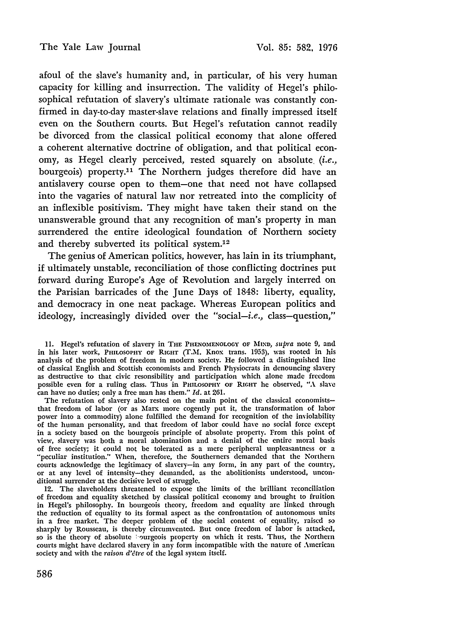afoul of the slave's humanity and, in particular, of his very human capacity for killing and insurrection. The validity of Hegel's philosophical refutation of slavery's ultimate rationale was constantly confirmed in day-to-day master-slave relations and finally impressed itself even on the Southern courts. But **Hegel's** refutation cannot readily be divorced from the classical political economy that alone offered a coherent alternative doctrine of obligation, and that political economy, as Hegel clearly perceived, rested squarely on absolute, *(i.e.,* bourgeois) property.<sup>11</sup> The Northern judges therefore did have an antislavery course open to them-one that need not have collapsed into the vagaries of natural law nor retreated into the complicity of an inflexible positivism. They might have taken their stand on the unanswerable ground that any recognition of man's property in man surrendered the entire ideological foundation of Northern society and thereby subverted its political system.<sup>12</sup>

The genius of American politics, however, has lain in its triumphant, if ultimately unstable, reconciliation of those conflicting doctrines put forward during Europe's Age of Revolution and largely interred on the Parisian barricades of the June Days of **1848:** liberty, equality, and democracy in one neat package. Whereas European politics and ideology, increasingly divided over the "social-i.e., class-question,"

11. Hegel's refutation of slavery in THE PHENOMENOLOGY OF **M][IND,** *supra* note 9, and in his later work, **PHILOSOPHY OF** RIGHT **(T.M.** Knox trans. **1953),** was rooted in his analysis of the problem of freedom in modern society. He followed a distinguished line of classical English and Scottish economists and French Physiocrats in denouncing slavery as destructive to that civic resonsibility and participation which alone made freedom possible even for a ruling class. Thus in PHILOSOPHY **OF** RIGHT he observed, **"A** slave can have no duties; only a free man has them." *Id.* at 261.

The refutation of slavery also rested on the main point of the classical economiststhat freedom of labor (or as Marx more cogently put it, the transformation **of** labor power into a commodity) alone fulfilled the demand for recognition of the inviolability of the human personality, and that freedom of labor could have no social force except in a society based on the bourgeois principle of absolute property. From this point of view, slavery was both a moral abomination and a denial of the entire moral basis of free society; it could not be tolerated as a mere peripheral unpleasantness or a "peculiar institution." When, therefore, the Southerners demanded that the Northern courts acknowledge the legitimacy of slavery-in any form, in any part of the country, or at any level of intensity-they demanded, as the abolitionists understood, unconditional surrender at the decisive level of struggle.

12. The slaveholders threatened to expose the limits of the brilliant reconciliation of freedom and equality sketched by classical political economy and brought to fruition in Hegel's philosophy. In bourgeois theory, freedom and equality are linked through the reduction of equality to its formal aspect as the confrontation of autonomous units in a free market. The deeper problem of the social content of equality, raised so sharply by Rousseau, is thereby circumvented. But once freedom of labor is attacked, so is the theory of absolute sourgeois property on which it rests. Thus, the Northern courts might have declared slavery in any form incompatible with the nature of American society and with the *raison d'etre* of the legal system itself.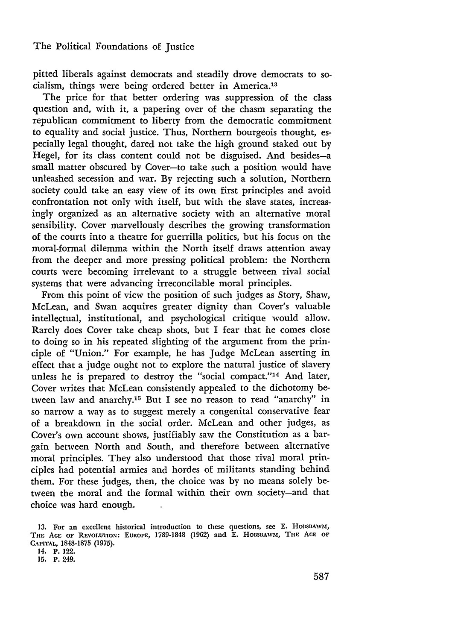pitted liberals against democrats and steadily drove democrats to socialism, things were being ordered better in America.<sup>13</sup>

The price for that better ordering was suppression of the class question and, with it, a papering over of the chasm separating the republican commitment to liberty from the democratic commitment to equality and social justice. Thus, Northern bourgeois thought, especially legal thought, dared not take the high ground staked out by Hegel, for its class content could not be disguised. And besides-a small matter obscured by Cover-to take such a position would have unleashed secession and war. By rejecting such a solution, Northern society could take an easy view of its own first principles and avoid confrontation not only with itself, but with the slave states, increasingly organized as an alternative society with an alternative moral sensibility. Cover marvellously describes the growing transformation of the courts into a theatre for guerrilla politics, but his focus on the moral-formal dilemma within the North itself draws attention away from the deeper and more pressing political problem: the Northern courts were becoming irrelevant to a struggle between rival social systems that were advancing irreconcilable moral principles.

From this point of view the position of such judges as Story, Shaw, McLean, and Swan acquires greater dignity than Cover's valuable intellectual, institutional, and psychological critique would allow. Rarely does Cover take cheap shots, but I fear that he comes close to doing so in his repeated slighting of the argument from the principle of "Union." For example, he has Judge McLean asserting in effect that a judge ought not to explore the natural justice of slavery unless he is prepared to destroy the "social compact."<sup>14</sup> And later, Cover writes that McLean consistently appealed to the dichotomy between law and anarchy.15 But I see no reason to read "anarchy" in so narrow a way as to suggest merely a congenital conservative fear of a breakdown in the social order. McLean and other judges, as Cover's own account shows, justifiably saw the Constitution as a bargain between North and South, and therefore between alternative moral principles. They also understood that those rival moral principles had potential armies and hordes of militants standing behind them. For these judges, then, the choice was by no means solely between the moral and the formal within their own society-and that choice was hard enough.

<sup>13.</sup> For an excellent historical introduction to these questions, see E. Hobsbawm, **THE AGE OF REVOLUTiov: EUROPE, 1789-1848 (1962) and E. HoBsBAWM, THE AGE OF CAPITAL, 1848-1875 (1975).**

**<sup>14.</sup> P. 122.**

**<sup>15.</sup> P.** 249.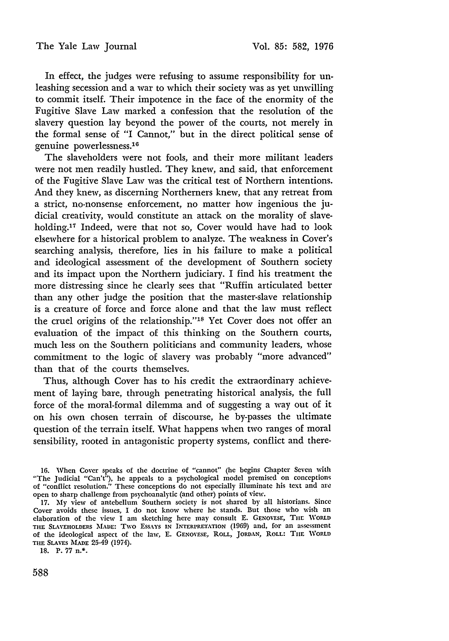In effect, the judges were refusing to assume responsibility for unleashing secession and a war to which their society was as yet unwilling to commit itself. Their impotence in the face of the enormity of the Fugitive Slave Law marked a confession that the resolution of the slavery question lay beyond the power of the courts, not merely in the formal sense of "I Cannot," but in the direct political sense of genuine powerlessness.<sup>16</sup>

The slaveholders were not fools, and their more militant leaders were not men readily hustled. They knew, and said, that enforcement of the Fugitive Slave Law was the critical test of Northern intentions. And they knew, as discerning Northerners knew, that any retreat from a strict, no-nonsense enforcement, no matter how ingenious the judicial creativity, would constitute an attack on the morality of slaveholding.<sup>17</sup> Indeed, were that not so, Cover would have had to look elsewhere for a historical problem to analyze. The weakness in Cover's searching analysis, therefore, lies in his failure to make a political and ideological assessment of the development of Southern society and its impact upon the Northern judiciary. I find his treatment the more distressing since he clearly sees that "Ruffin articulated better than any other judge the position that the master-slave relationship is a creature of force and force alone and that the law must reflect the cruel origins of the relationship."'Is Yet Cover does not offer an evaluation of the impact of this thinking on the Southern courts, much less on the Southern politicians and community leaders, whose commitment to the logic of slavery was probably "more advanced" than that of the courts themselves.

Thus, although Cover has to his credit the extraordinary achievement of laying bare, through penetrating historical analysis, the full force of the moral-formal dilemma and of suggesting a way out of it on his own chosen terrain of discourse, he by-passes the ultimate question of the terrain itself. What happens when two ranges of moral sensibility, rooted in antagonistic property systems, conflict and there-

18. P. 77 n.\*.

**<sup>16.</sup>** When Cover speaks of the doctrine of "cannot" (he begins Chapter Seven with "The Judicial "Can't"), he appeals to a psychological model premised on conceptions of "conflict resolution." These conceptions do not especially illuminate his text and are open to sharp challenge from psychoanalytic (and other) points of view.

<sup>17.</sup> My view of antebellum Southern society is not shared by all historians. Since Cover avoids these issues, **I** do not know where he stands. But those who wish an elaboration of the view I am sketching here may consult E. GENOVESE, THE WORLD **THE SLAVEHOLDERS MIADE: Two ESSAYS IN INTERPRETATION** (1969) **and, for** an assessment **of the** ideological aspect **of** the law, **E.** GENOvESE, ROLL, JORDAN, ROLL: **TiE WORLD THE SLAVES MADE** 25-49 (1974).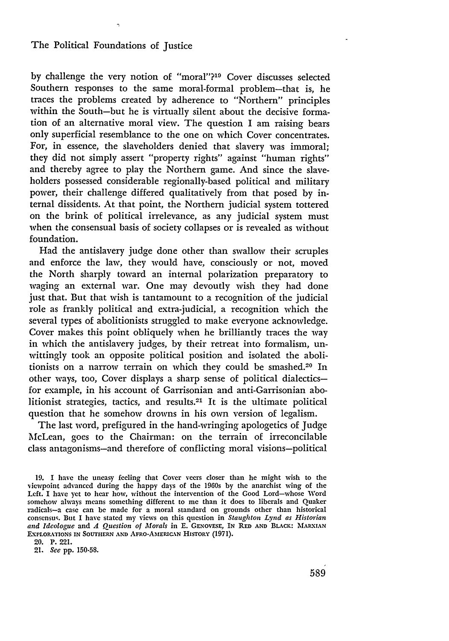#### The Political Foundations of Justice

by challenge the very notion of "moral"?<sup>19</sup> Cover discusses selected Southern responses to the same moral-formal problem-that is, he traces the problems created by adherence to "Northern" principles within the South-but he is virtually silent about the decisive formation of an alternative moral view. The question I am raising bears only superficial resemblance to the one on which Cover concentrates. For, in essence, the slaveholders denied that slavery was immoral; they did not simply assert "property rights" against "human rights" and thereby agree to play the Northern game. And since the slaveholders possessed considerable regionally-based political and military power, their challenge differed qualitatively from that posed by internal dissidents. At that point, the Northern judicial system tottered on the brink of political irrelevance, as any judicial system must when the consensual basis of society collapses or is revealed as without foundation.

Had the antislavery judge done other than swallow their scruples and enforce the law, they would have, consciously or not, moved the North sharply toward an internal polarization preparatory to waging an external war. One may devoutly wish they had done just that. But that wish is tantamount to a recognition of the judicial role as frankly political and extra-judicial, a recognition which the several types of abolitionists struggled to make everyone acknowledge. Cover makes this point obliquely when he brilliantly traces the way in which the antislavery judges, by their retreat into formalism, unwittingly took an opposite political position and isolated the abolitionists on a narrow terrain on which they could be smashed.<sup>20</sup> In other ways, too, Cover displays a sharp sense of political dialecticsfor example, in his account of Garrisonian and anti-Garrisonian abolitionist strategies, tactics, and results.<sup>21</sup> It is the ultimate political question that he somehow drowns in his own version of legalism.

The last word, prefigured in the hand-wringing apologetics of Judge McLean, goes to the Chairman: on the terrain of irreconcilable class antagonisms-and therefore of conflicting moral visions-political

20. P. 221.

21. *See* pp. 150-58.

<sup>19.</sup> I have the uneasy feeling that Cover veers closer than he might wish to the viewpoint advanced during the happy days of the 1960s by the anarchist wing of the Left. I have yet to hear how, without the intervention of the Good Lord-whose Word somehow always means something different to me than it does to liberals and Quaker radicals-a case can be made for a moral standard on grounds other than historical consensus. But I have stated my views on this question in *Staughton Lynd as Historian and Ideologue* and *A Question of Morals* in **E. GENOVESE,** IN RrD **AND** BLACK: **MARXIAN** EXPLORATIONS **IN SOUTHERN AND AFRO-AMERICAN** HISTORY (1971).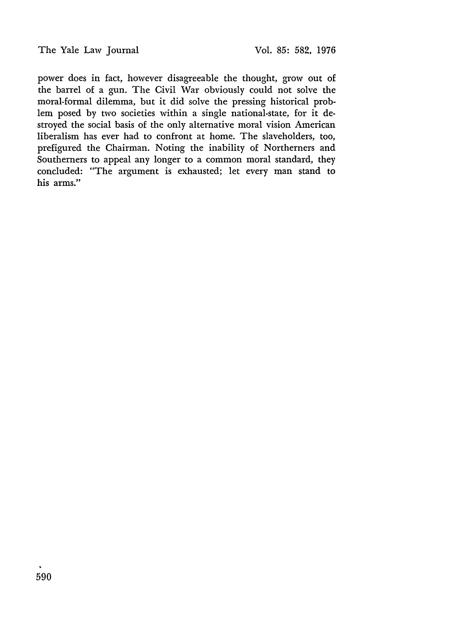power does in fact, however disagreeable the thought, grow out of the barrel of a gun. The Civil War obviously could not solve the moral-formal dilemma, but it did solve the pressing historical problem posed by two societies within a single national-state, for it destroyed the social basis of the only alternative moral vision American liberalism has ever had to confront at home. The slaveholders, too, prefigured the Chairman. Noting the inability of Northerners and Southerners to appeal any longer to a common moral standard, they concluded: "The argument is exhausted; let every man stand to his arms."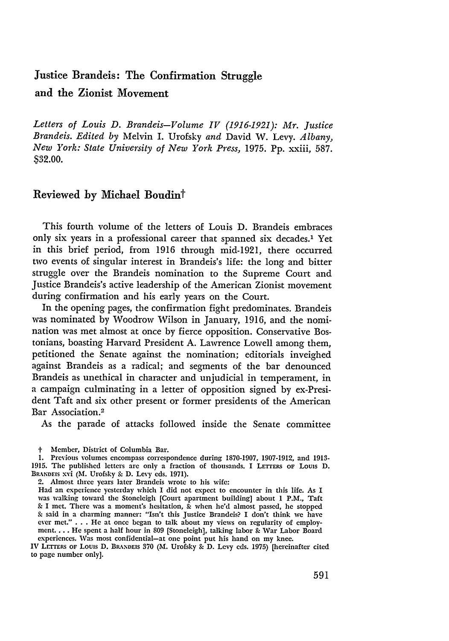# Justice Brandeis: The Confirmation Struggle and the Zionist Movement

*Letters of Louis D. Brandeis-Volume IV (1916-1921): Mr. Justice Brandeis. Edited by* Melvin I. Urofsky *and* David W. Levy. *Albany, New York: State University of New York Press,* 1975. Pp. xxiii, 587. **\$32.00.**

# Reviewed **by** Michael Boudint

This fourth volume of the letters of Louis **D.** Brandeis embraces only six years in a professional career that spanned six decades.' Yet in this brief period, from **1916** through mid-1921, there occurred two events of singular interest in Brandeis's life: the long and bitter struggle over the Brandeis nomination to the Supreme Court and Justice Brandeis's active leadership of the American Zionist movement during confirmation and his early years on the Court.

In the opening pages, the confirmation fight predominates. Brandeis was nominated by Woodrow Wilson in January, 1916, and the nomination was met almost at once by fierce opposition. Conservative Bostonians, boasting Harvard President A. Lawrence Lowell among them, petitioned the Senate against the nomination; editorials inveighed against Brandeis as a radical; and segments of the bar denounced Brandeis as unethical in character and unjudicial in temperament, in a campaign culminating in a letter of opposition signed by ex-President Taft and six other present or former presidents of the American Bar Association.<sup>2</sup>

As the parade of attacks followed inside the Senate committee

IV **LrTERs OF** Louis **D.** BRANDEIS **370** (M. Urofsky & **D.** Levy eds. **1975)** [hereinafter cited to page number only].

t Member, District of Columbia Bar.

**<sup>1.</sup>** Previous volumes encompass correspondence during 1870-1907, 1907-1912, and **1913-** 1915. The published letters are only a fraction of thousands. I LETTERS OF LOUIS D. BRANDEIS xvi **(M.** Urofsky & **D.** Levy eds. **1971).**

<sup>2.</sup> Almost three years later Brandeis wrote to his wife:

Had an experience yesterday which I did not expect to encounter in this life. As I was walking toward the Stoneleigh [Court apartment building] about **I** P.M., Taft & I met. There was a moment's hesitation, & when he'd almost passed, **lie** stopped & said in a charming manner: "Isn't this Justice Brandeis? I don't think we have ever met." . **. .** He at once began to talk about my views on regularity of employment **....** He spent a half hour in **809** [Stoneleigh], talking labor & War Labor Board experiences. Was most confidential-at one point put his hand on my knee.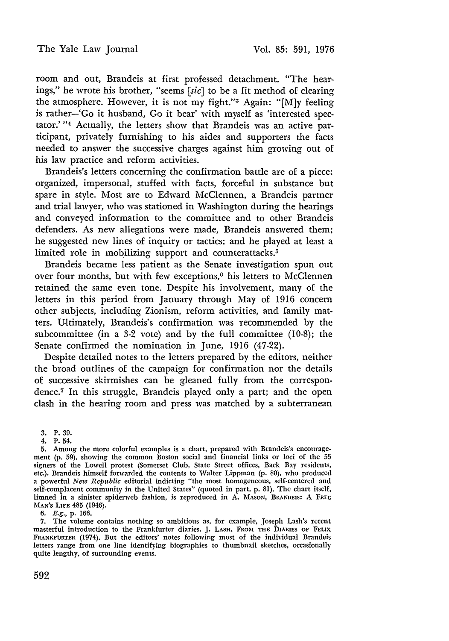room and out, Brandeis at first professed detachment. "The hearings," he wrote his brother, "seems *[sic]* to be a fit method of clearing the atmosphere. However, it is not my fight."" Again: "[M]y feeling is rather-'Go it husband, Go it bear' with myself as 'interested spectator.' "4 Actually, the letters show that Brandeis was an active participant, privately furnishing to his aides and supporters the facts needed to answer the successive charges against him growing out of his law practice and reform activities.

Brandeis's letters concerning the confirmation battle are of a piece: organized, impersonal, stuffed with facts, forceful in substance but spare in style. Most are to Edward McClennen, a Brandeis partner and trial lawyer, who was stationed in Washington during the hearings and conveyed information to the committee and to other Brandeis defenders. As new allegations were made, Brandeis answered them; he suggested new lines of inquiry or tactics; and he played at least a limited role in mobilizing support and counterattacks.<sup>5</sup>

Brandeis became less patient as the Senate investigation spun out over four months, but with few exceptions,<sup>6</sup> his letters to McClennen retained the same even tone. Despite his involvement, many of the letters in this period from January through May of 1916 concern other subjects, including Zionism, reform activities, and family matters. Ultimately, Brandeis's confirmation was recommended by the subcommittee (in a 3-2 vote) and by the full committee (10-8); the Senate confirmed the nomination in June, 1916 (47-22).

Despite detailed notes to the letters prepared by the editors, neither the broad outlines of the campaign for confirmation nor the details of successive skirmishes can be gleaned fully from the correspondence.<sup>7</sup> In this struggle, Brandeis played only a part; and the open clash in the hearing room and press was matched by a subterranean

*6. E.g.,* p. 166.

7. The volume contains nothing so ambitious as, for example, Joseph Lash's recen masterful introduction to the Frankfurter diaries. J. **LASH,** FRONT THE DIARIES OF **FELIX FRAN FURTER** (1974). But the editors' notes following most of the individual Brandeis letters range from one line identifying biographies to thumbnail sketches, occasionally quite lengthy, of surrounding events.

**592**

**<sup>3.</sup>** P. **39.**

<sup>4.</sup> P. 54.

**<sup>5.</sup>** Among the more colorful examples is a chart, prepared with Brandeis's encouragement (p. 59), showing the common Boston social and financial links or loci of the **55** signers of the Lowell protest (Somerset Club, State Street offices, Back Bay residents, etc.). Brandeis himself forwarded the contents to Walter Lippman (p. 80), who produced a powerful *New Republic* editorial indicting "the most homogeneous, self-centered and self-complacent community in the United States" (quoted in part, p. 81). The chart itself, limned in a sinister spiderweb fashion, is reproduced in A. **MASON,** BRANDEIS: **A** FRET **MAN'S LIFE** 485 (1946).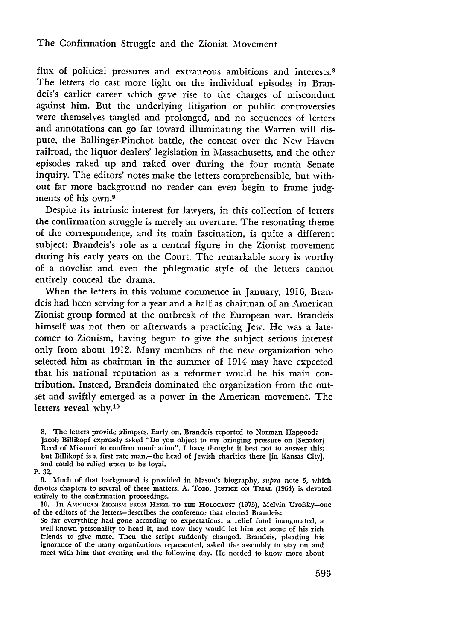#### The Confirmation Struggle and the Zionist Movement

flux of political pressures and extraneous ambitions and interests.<sup>8</sup> The letters do cast more light on the individual episodes in Brandeis's earlier career which gave rise to the charges of misconduct against him. But the underlying litigation or public controversies were themselves tangled and prolonged, and no sequences of letters and annotations can go far toward illuminating the Warren will dispute, the Ballinger-Pinchot battle, the contest over the New Haven railroad, the liquor dealers' legislation in Massachusetts, and the other episodes raked up and raked over during the four month Senate inquiry. The editors' notes make the letters comprehensible, but without far more background no reader can even begin to frame judgments of his own.<sup>9</sup>

Despite its intrinsic interest for lawyers, in this collection of letters the confirmation struggle is merely an overture. The resonating theme of the correspondence, and its main fascination, is quite a different subject: Brandeis's role as a central figure in the Zionist movement during his early years on the Court. The remarkable story is worthy of a novelist and even the phlegmatic style of the letters cannot entirely conceal the drama.

When the letters in this volume commence in January, 1916, Brandeis had been serving for a year and a half as chairman of an American Zionist group formed at the outbreak of the European war. Brandeis himself was not then or afterwards a practicing Jew. He was a latecomer to Zionism, having begun to give the subject serious interest only from about 1912. Many members of the new organization who selected him as chairman in the summer of 1914 may have expected that his national reputation as a reformer would be his main contribution. Instead, Brandeis dominated the organization from the outset and swiftly emerged as a power in the American movement. The letters reveal why.<sup>10</sup>

9. Much of that background is provided in Mason's biography, *supra* note 5, which devotes chapters to several of these matters. A. Topp, JUSTICE ON TRIAL (1964) is devoted entirely to the confirmation proceedings.

10. In AMERICAN ZIONISM FROM HERZL TO THE HOLOCAUST (1975), Melvin Urofsky-one of the editors of the letters-describes the conference that elected Brandeis:

So far everything had gone according to expectations: a relief fund inaugurated, a well-known personality to head it, and now they would let him get some of his rich friends to give more. Then the script suddenly changed. Brandeis, pleading his ignorance of the many organizations represented, asked the assembly to stay on and meet with him that evening and the following day. He needed to know more about

<sup>8.</sup> The letters provide glimpses. Early on, Brandeis reported to Norman Hapgood: Jacob Billikopf expressly asked "Do you object to my bringing pressure on [Senator] Reed of Missouri to confirm nomination". I have thought it best not to answer this; but Billikopf is a first rate man,-the head of Jewish charities there [in Kansas City], and could be relied upon to be loyal.

P. 32.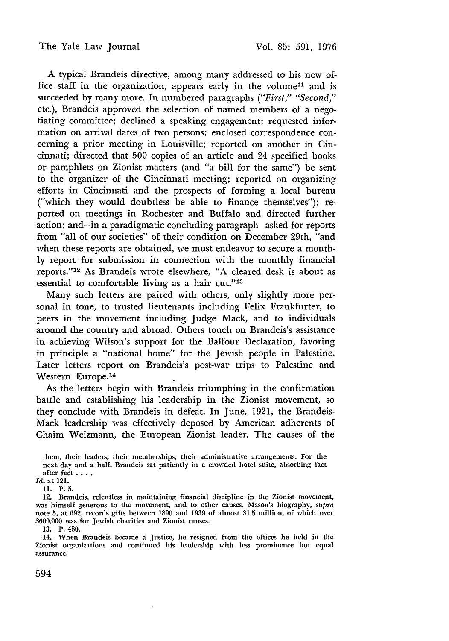A typical Brandeis directive, among many addressed to his new office staff in the organization, appears early in the volume<sup>11</sup> and is succeeded by many more. In numbered paragraphs *("First," "Second,"* etc.), Brandeis approved the selection of named members of a negotiating committee; declined a speaking engagement; requested information on arrival dates of two persons; enclosed correspondence concerning a prior meeting in Louisville; reported on another in Cincinnati; directed that 500 copies of an article and 24 specified books or pamphlets on Zionist matters (and "a bill for the same") be sent to the organizer of the Cincinnati meeting; reported on organizing efforts in Cincinnati and the prospects of forming a local bureau ("which they would doubtless be able to finance themselves"); reported on meetings in Rochester and Buffalo and directed further action; and-in a paradigmatic concluding paragraph-asked for reports from "all of our societies" of their condition on December 29th, "and when these reports are obtained, we must endeavor to secure a monthly report for submission in connection with the monthly financial reports."<sup>12</sup> As Brandeis wrote elsewhere, "A cleared desk is about as essential to comfortable living as a hair cut." $13$ 

Many such letters are paired with others, only slightly more personal in tone, to trusted lieutenants including Felix Frankfurter, to peers in the movement including Judge Mack, and to individuals around the country and abroad. Others touch on Brandeis's assistance in achieving Wilson's support for the Balfour Declaration, favoring in principle a "national home" for the Jewish people in Palestine. Later letters report on Brandeis's post-war trips to Palestine and Western Europe.<sup>14</sup>

As the letters begin with Brandeis triumphing in the confirmation battle and establishing his leadership in the Zionist movement, so they conclude with Brandeis in defeat. In June, 1921, the Brandeis-Mack leadership was effectively deposed by American adherents of Chaim Weizmann, the European Zionist leader. The causes of the

them, their leaders, their memberships, their administrative arrangements. For the next day and a half, Brandeis sat patiently in a crowded hotel suite, absorbing fact after fact **....**

*Id.* at 121.

11. P. **5.** 12. Brandeis, relentless in maintaining financial discipline in the Zionist movement, was himself generous to the movement, and to other causes. Mason's biography, *supra* note **5,** at **692,** records gifts between 1890 and **1939** of almost **S1.5** million, of which over •5600,000 was for Jewish charities and Zionist causes.

**13.** P. 480.

14. When Brandeis became a Justice, he resigned from the offices **lie** held in **the** Zionist organizations and continued his leadership with less prominence but equal assurance.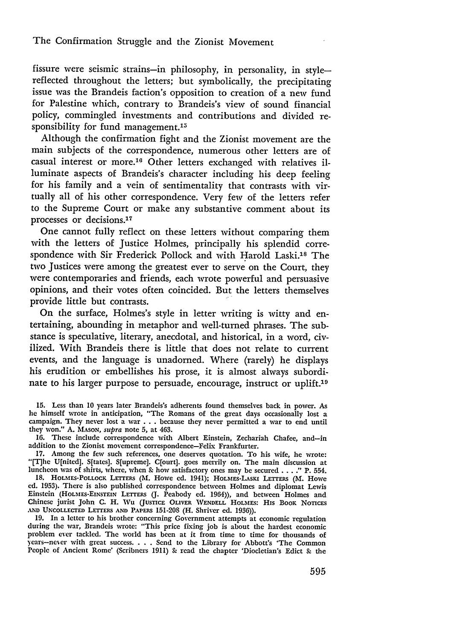#### The Confirmation Struggle and the Zionist Movement

fissure were seismic strains-in philosophy, in personality, in stylereflected throughout the letters; but symbolically, the precipitating issue was the Brandeis faction's opposition to creation of a new fund for Palestine which, contrary to Brandeis's view of sound financial policy, commingled investments and contributions and divided responsibility for fund management.<sup>15</sup>

Although the confirmation fight and the Zionist movement are the main subjects of the correspondence, numerous other letters are of casual interest or more.<sup>16</sup> Other letters exchanged with relatives illuminate aspects of Brandeis's character including his deep feeling for his family and a vein of sentimentality that contrasts with virtually all of his other correspondence. Very few of the letters refer to the Supreme Court or make any substantive comment about its processes or decisions.<sup>17</sup>

One cannot fully reflect on these letters without comparing them with the letters of Justice Holmes, principally his splendid correspondence with Sir Frederick Pollock and with Harold Laski.<sup>18</sup> The two Justices were among the greatest ever to serve on the Court, they were contemporaries and friends, each wrote powerful and persuasive opinions, and their votes often coincided. But the letters themselves provide little but contrasts.

On the surface, Holmes's style in letter writing is witty and entertaining, abounding in metaphor and well-turned phrases. The substance is speculative, literary, anecdotal, and historical, in a word, civilized. With Brandeis there is little that does not relate to current events, and the language is unadorned. Where (rarely) he displays his erudition or embellishes his prose, it is almost always subordinate to his larger purpose to persuade, encourage, instruct or uplift.19

**15.** Less than 10 years later Brandeis's adherents found themselves back in power. As lie himself wrote in anticipation, "The Romans of the great days occasionally lost a campaign. They never lost a war ...because they never permitted a war to end until they won." A. MASON, *supra* note 5, at 463.

16. These include correspondence with Albert Einstein, Zechariah Chafee, and-in addition to the Zionist movement correspondence-Felix Frankfurter.

17. Among the few such references, one deserves quotation. To his wife, he wrote: "[T]he U[nited]. S[tates]. S[upreme]. C[ourt]. goes merrily on. The main discussion at luncheon was of shirts, where, when & how satisfactory ones may be secured **...."** P. 554.

**18.** HOLMES-POLLOCK LETTERS **(NI.** Howe ed. 1941); **HOLMES-LASKI** LETTRrs **(M.** Howe **ed. 1953).** There is also published correspondence between Holmes and diplomat Lewis Einstein **(HOLMEs-EINSTEIN** LErrERs **(J.** Peabody **ed.** 1964)), and between Holmes and Chinese jurist John **C.** H. WVu (JUsTIcE OLIVER WENDELL HOLMES: His BOOK NoTIcES **AND UNCOLLEcTED** LrrERs **AND PAPERS 151-208** (H. Shriver **ed. 1936)).**

**19.** In a letter to his brother concerning Government attempts at economic regulation during the war, Brandeis wrote: "This price fixing **job** is about the hardest economic problem ever tackled. The world has been at it from time to time for thousands of )ears-ne,er with great success. . **.** . Send to the Library for Abbott's 'The Common People of Ancient Rome' (Scribners **1911)** & read the chapter 'Diocletian's Edict & the